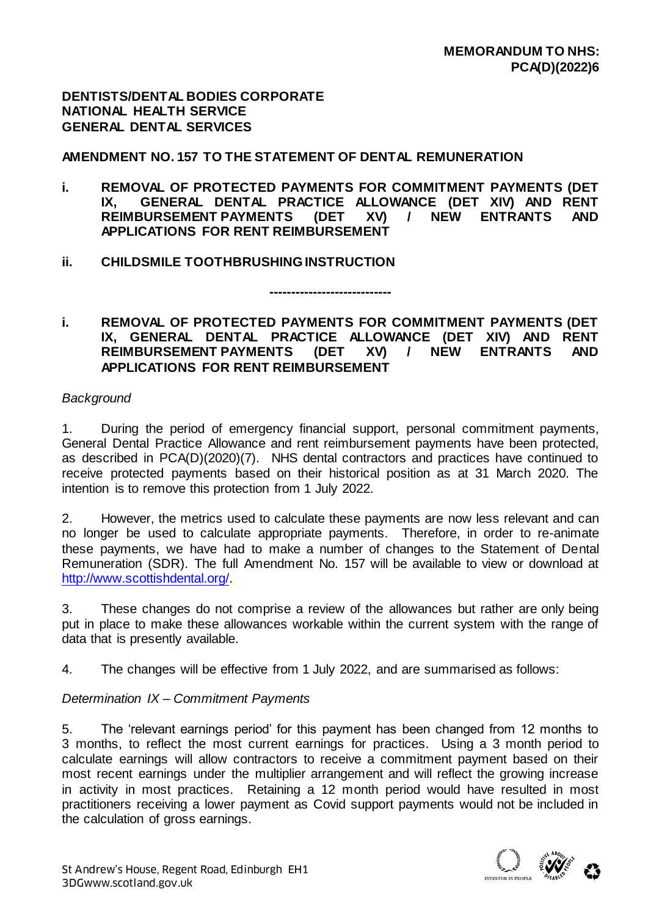**DENTISTS/DENTAL BODIES CORPORATE NATIONAL HEALTH SERVICE GENERAL DENTAL SERVICES**

**AMENDMENT NO. 157 TO THE STATEMENT OF DENTAL REMUNERATION**

- **i. REMOVAL OF PROTECTED PAYMENTS FOR COMMITMENT PAYMENTS (DET IX, GENERAL DENTAL PRACTICE ALLOWANCE (DET XIV) AND RENT REIMBURSEMENT PAYMENTS (DET XV) / NEW ENTRANTS AND APPLICATIONS FOR RENT REIMBURSEMENT**
- **ii. CHILDSMILE TOOTHBRUSHING INSTRUCTION**

### **i. REMOVAL OF PROTECTED PAYMENTS FOR COMMITMENT PAYMENTS (DET IX, GENERAL DENTAL PRACTICE ALLOWANCE (DET XIV) AND RENT**  REIMBURSEMENT PAYMENTS (DET XV) / NEW ENTRANTS **APPLICATIONS FOR RENT REIMBURSEMENT**

**----------------------------**

#### *Background*

1. During the period of emergency financial support, personal commitment payments, General Dental Practice Allowance and rent reimbursement payments have been protected, as described in PCA(D)(2020)(7). NHS dental contractors and practices have continued to receive protected payments based on their historical position as at 31 March 2020. The intention is to remove this protection from 1 July 2022.

2. However, the metrics used to calculate these payments are now less relevant and can no longer be used to calculate appropriate payments. Therefore, in order to re-animate these payments, we have had to make a number of changes to the Statement of Dental Remuneration (SDR). The full Amendment No. 157 will be available to view or download at [http://www.scottishdental.org/.](http://www.scottishdental.org/)

3. These changes do not comprise a review of the allowances but rather are only being put in place to make these allowances workable within the current system with the range of data that is presently available.

4. The changes will be effective from 1 July 2022, and are summarised as follows:

# *Determination IX – Commitment Payments*

5. The 'relevant earnings period' for this payment has been changed from 12 months to 3 months, to reflect the most current earnings for practices. Using a 3 month period to calculate earnings will allow contractors to receive a commitment payment based on their most recent earnings under the multiplier arrangement and will reflect the growing increase in activity in most practices. Retaining a 12 month period would have resulted in most practitioners receiving a lower payment as Covid support payments would not be included in the calculation of gross earnings.

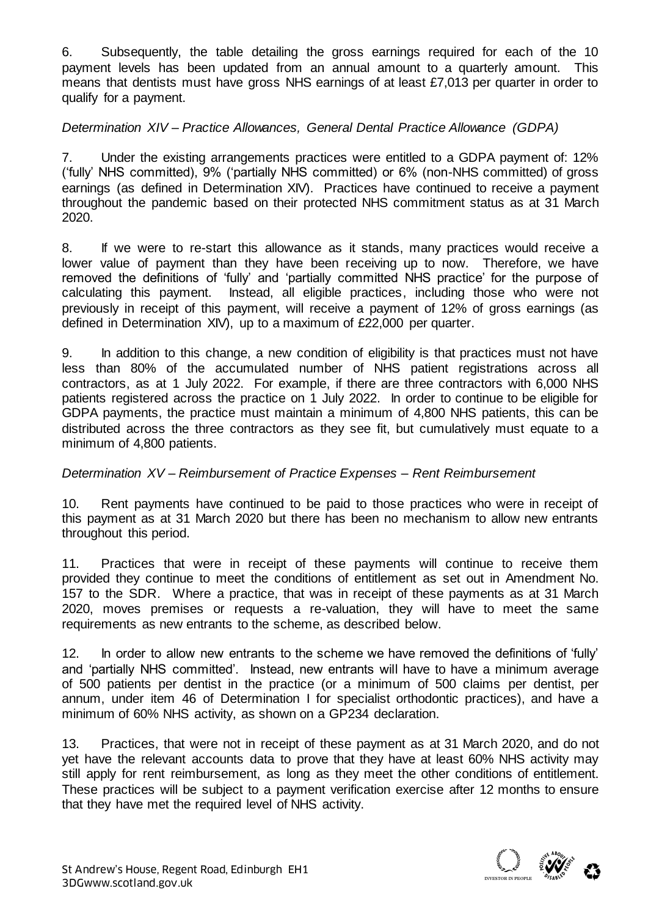6. Subsequently, the table detailing the gross earnings required for each of the 10 payment levels has been updated from an annual amount to a quarterly amount. This means that dentists must have gross NHS earnings of at least £7,013 per quarter in order to qualify for a payment.

# *Determination XIV – Practice Allowances, General Dental Practice Allowance (GDPA)*

7. Under the existing arrangements practices were entitled to a GDPA payment of: 12% ('fully' NHS committed), 9% ('partially NHS committed) or 6% (non-NHS committed) of gross earnings (as defined in Determination XIV). Practices have continued to receive a payment throughout the pandemic based on their protected NHS commitment status as at 31 March 2020.

8. If we were to re-start this allowance as it stands, many practices would receive a lower value of payment than they have been receiving up to now. Therefore, we have removed the definitions of 'fully' and 'partially committed NHS practice' for the purpose of calculating this payment. Instead, all eligible practices, including those who were not previously in receipt of this payment, will receive a payment of 12% of gross earnings (as defined in Determination XIV), up to a maximum of £22,000 per quarter.

9. In addition to this change, a new condition of eligibility is that practices must not have less than 80% of the accumulated number of NHS patient registrations across all contractors, as at 1 July 2022. For example, if there are three contractors with 6,000 NHS patients registered across the practice on 1 July 2022. In order to continue to be eligible for GDPA payments, the practice must maintain a minimum of 4,800 NHS patients, this can be distributed across the three contractors as they see fit, but cumulatively must equate to a minimum of 4,800 patients.

#### *Determination XV – Reimbursement of Practice Expenses – Rent Reimbursement*

10. Rent payments have continued to be paid to those practices who were in receipt of this payment as at 31 March 2020 but there has been no mechanism to allow new entrants throughout this period.

11. Practices that were in receipt of these payments will continue to receive them provided they continue to meet the conditions of entitlement as set out in Amendment No. 157 to the SDR. Where a practice, that was in receipt of these payments as at 31 March 2020, moves premises or requests a re-valuation, they will have to meet the same requirements as new entrants to the scheme, as described below.

12. In order to allow new entrants to the scheme we have removed the definitions of 'fully' and 'partially NHS committed'. Instead, new entrants will have to have a minimum average of 500 patients per dentist in the practice (or a minimum of 500 claims per dentist, per annum, under item 46 of Determination I for specialist orthodontic practices), and have a minimum of 60% NHS activity, as shown on a GP234 declaration.

13. Practices, that were not in receipt of these payment as at 31 March 2020, and do not yet have the relevant accounts data to prove that they have at least 60% NHS activity may still apply for rent reimbursement, as long as they meet the other conditions of entitlement. These practices will be subject to a payment verification exercise after 12 months to ensure that they have met the required level of NHS activity.